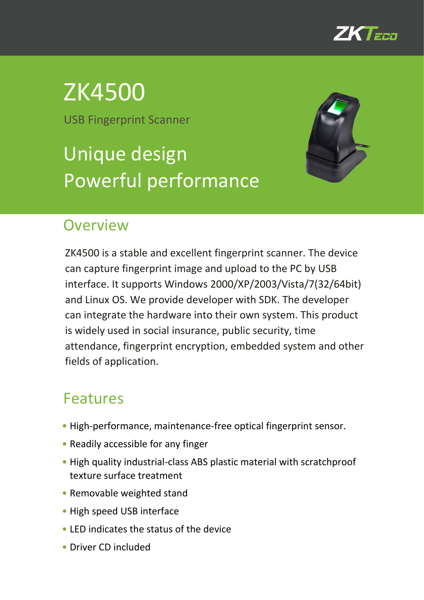

# ZK4500

USB Fingerprint Scanner

## Unique design Powerful performance



#### **Overview**

ZK4500 is a stable and excellent fingerprint scanner. The device can capture fingerprint image and upload to the PC by USB interface. It supports Windows 2000/XP/2003/Vista/7(32/64bit) and Linux OS. We provide developer with SDK. The developer can integrate the hardware into their own system. This product is widely used in social insurance, public security, time attendance, fingerprint encryption, embedded system and other fields of application.

#### Features

- High-performance, maintenance-free optical fingerprint sensor.
- Readily accessible for any finger
- High quality industrial-class ABS plastic material with scratchproof texture surface treatment
- Removable weighted stand
- High speed USB interface
- LED indicates the status of the device
- Driver CD included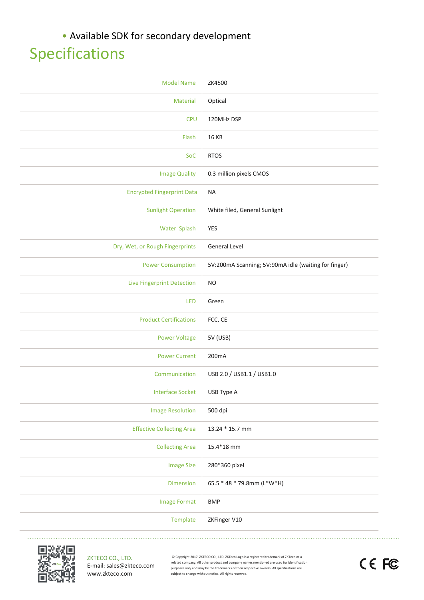• Available SDK for secondary development

### Specifications

| <b>Model Name</b>                 | ZK4500                                               |
|-----------------------------------|------------------------------------------------------|
| Material                          | Optical                                              |
| <b>CPU</b>                        | 120MHz DSP                                           |
| Flash                             | 16 KB                                                |
| SoC                               | <b>RTOS</b>                                          |
| <b>Image Quality</b>              | 0.3 million pixels CMOS                              |
| <b>Encrypted Fingerprint Data</b> | <b>NA</b>                                            |
| <b>Sunlight Operation</b>         | White filed, General Sunlight                        |
| Water Splash                      | YES                                                  |
| Dry, Wet, or Rough Fingerprints   | General Level                                        |
| <b>Power Consumption</b>          | 5V:200mA Scanning; 5V:90mA idle (waiting for finger) |
| <b>Live Fingerprint Detection</b> | <b>NO</b>                                            |
| LED                               | Green                                                |
| <b>Product Certifications</b>     | FCC, CE                                              |
| <b>Power Voltage</b>              | 5V (USB)                                             |
| <b>Power Current</b>              | 200mA                                                |
| Communication                     | USB 2.0 / USB1.1 / USB1.0                            |
| <b>Interface Socket</b>           | USB Type A                                           |
| <b>Image Resolution</b>           | 500 dpi                                              |
| <b>Effective Collecting Area</b>  | 13.24 * 15.7 mm                                      |
| <b>Collecting Area</b>            | 15.4*18 mm                                           |
| <b>Image Size</b>                 | 280*360 pixel                                        |
| Dimension                         | 65.5 * 48 * 79.8mm (L*W*H)                           |
| <b>Image Format</b>               | <b>BMP</b>                                           |
| Template                          | ZKFinger V10                                         |



ZKTECO CO., LTD. E-mail: sales@zkteco.com www.zkteco.com

© Copyright 2017. ZKTECO CO., LTD. ZKTeco Logo is a registered trademark of ZKTeco or a related company. All other product and company names mentioned are used for identification purposes only and may be the trademarks of their respective owners. All specifications are subject to change without notice. All rights reserved.